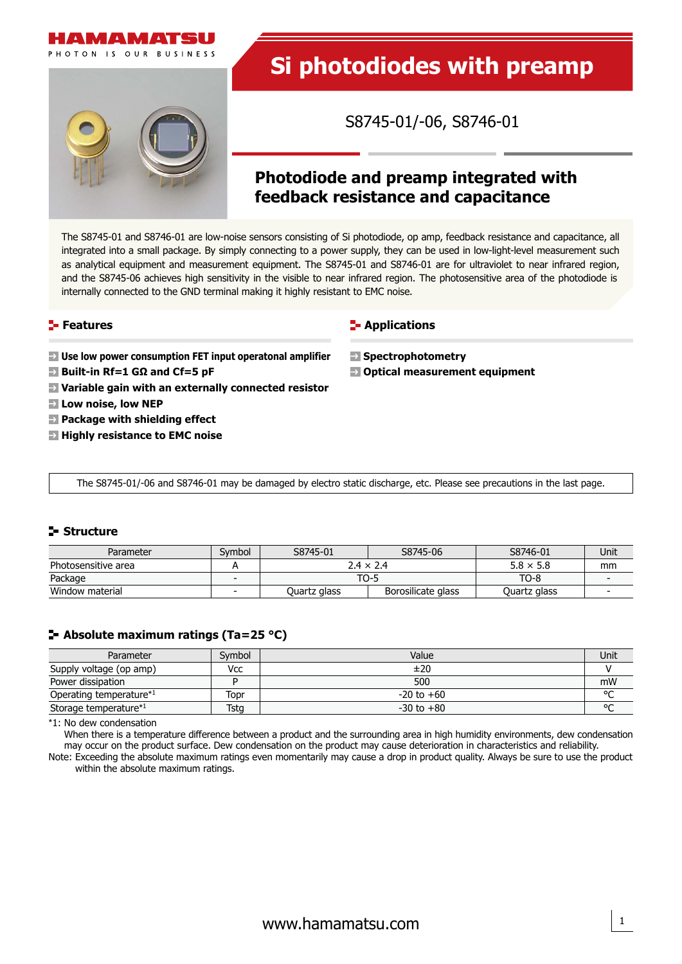



# **Si photodiodes with preamp**

S8745-01/-06, S8746-01

## **Photodiode and preamp integrated with feedback resistance and capacitance**

The S8745-01 and S8746-01 are low-noise sensors consisting of Si photodiode, op amp, feedback resistance and capacitance, all integrated into a small package. By simply connecting to a power supply, they can be used in low-light-level measurement such as analytical equipment and measurement equipment. The S8745-01 and S8746-01 are for ultraviolet to near infrared region, and the S8745-06 achieves high sensitivity in the visible to near infrared region. The photosensitive area of the photodiode is internally connected to the GND terminal making it highly resistant to EMC noise.

### **Features**

**F** Applications

- **Use low power consumption FET input operatonal amplifier**
- **Built-in Rf=1 GΩ and Cf=5 pF**
- **Variable gain with an externally connected resistor**
- **Low noise, low NEP**
- **Package with shielding effect**
- **Highly resistance to EMC noise**

 **Spectrophotometry**

**Optical measurement equipment**

The S8745-01/-06 and S8746-01 may be damaged by electro static discharge, etc. Please see precautions in the last page.

### **Structure**

| Parameter           | Svmbol | S8745-01<br>S8745-06 |                    | S8746-01         | Unit |
|---------------------|--------|----------------------|--------------------|------------------|------|
| Photosensitive area |        | $2.4 \times 2.4$     |                    | $5.8 \times 5.8$ | mm   |
| Package             |        | TO-5                 |                    | TO-8             |      |
| Window material     |        | Quartz glass         | Borosilicate glass | Quartz glass     |      |

### **Absolute maximum ratings (Ta=25 °C)**

| Parameter                           | Symbol | Value          | Unit   |
|-------------------------------------|--------|----------------|--------|
| Supply voltage (op amp)             | Vcc    | ±20            |        |
| Power dissipation                   |        | 500            | mW     |
| Operating temperature <sup>*1</sup> | Topr   | $-20$ to $+60$ | $\sim$ |
| Storage temperature*1               | Tstg   | $-30$ to $+80$ | $\sim$ |

\*1: No dew condensation

When there is a temperature difference between a product and the surrounding area in high humidity environments, dew condensation may occur on the product surface. Dew condensation on the product may cause deterioration in characteristics and reliability.

Note: Exceeding the absolute maximum ratings even momentarily may cause a drop in product quality. Always be sure to use the product within the absolute maximum ratings.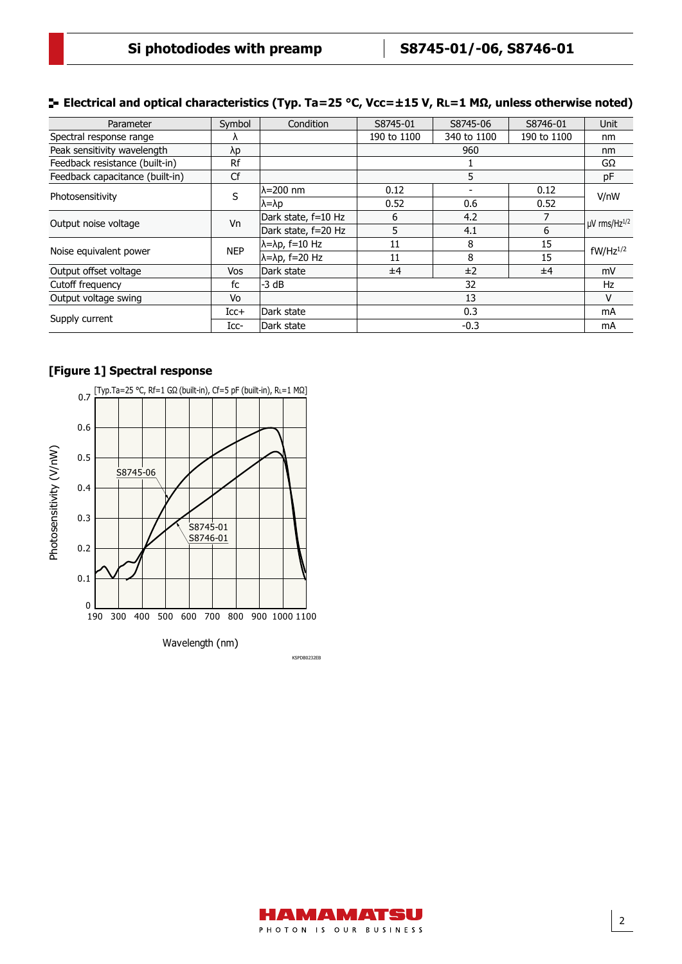| Symbol        | Condition                       | S8745-01    | S8745-06    | S8746-01    | <b>Unit</b>             |
|---------------|---------------------------------|-------------|-------------|-------------|-------------------------|
| Λ             |                                 | 190 to 1100 | 340 to 1100 | 190 to 1100 | nm                      |
| λp            |                                 | 960         |             |             | nm                      |
| Rf            |                                 |             |             |             | GΩ                      |
| Cf            |                                 | 5           |             |             | pF                      |
| S             | lλ=200 nm                       | 0.12        |             | 0.12        | V/nW                    |
|               | $\lambda = \lambda p$           | 0.52        | 0.6         | 0.52        |                         |
|               | Dark state, f=10 Hz             | 6           | 4.2         |             | $\mu$ V rms/Hz $^{1/2}$ |
|               | Dark state, f=20 Hz             | 5           | 4.1         | 6           |                         |
| <b>NEP</b>    | $\lambda = \lambda p$ , f=10 Hz | 11          | 8           | 15          | $fW/Hz^{1/2}$           |
|               | $\lambda = \lambda p$ , f=20 Hz | 11          | 8           | 15          |                         |
| <b>Vos</b>    | Dark state                      | ±4          | ±2          | ±4          | mV                      |
| fc            | -3 dB                           | 32          |             | Hz          |                         |
| Vo            |                                 | 13          |             | v           |                         |
| $_{\rm ICC+}$ | Dark state                      | 0.3         |             |             | mA                      |
| $_{\rm Icc}$  | Dark state                      | $-0.3$      |             |             | mA                      |
|               | Vn                              |             |             |             |                         |

### **Electrical and optical characteristics (Typ. Ta=25 °C, Vcc=±15 V, RL=1 MΩ, unless otherwise noted)**

### **[Figure 1] Spectral response**



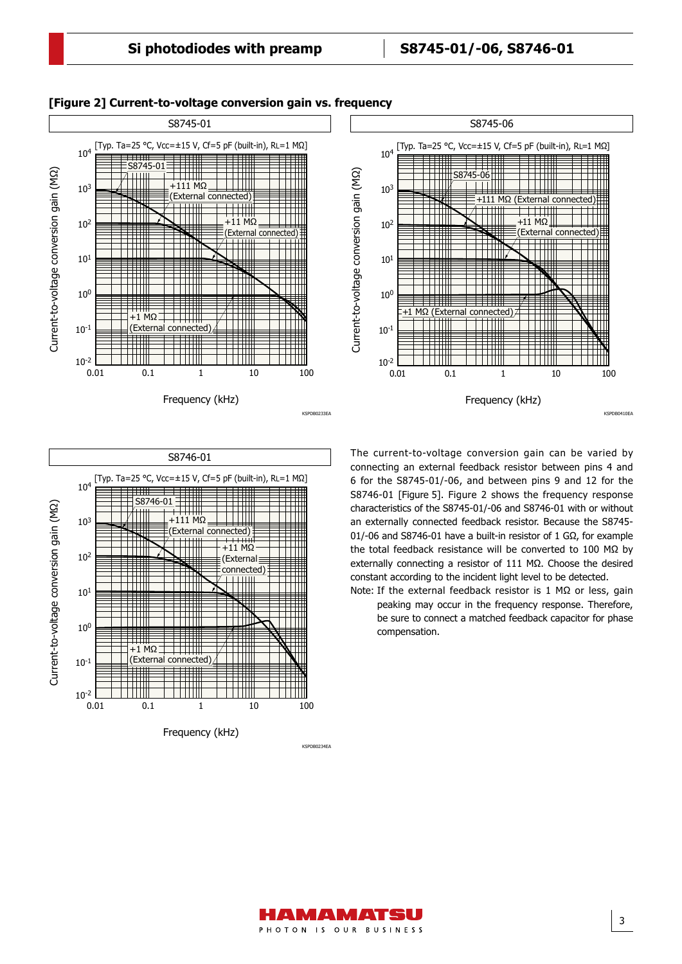

#### **[Figure 2] Current-to-voltage conversion gain vs. frequency** S8745-06[Typ. Ta=25 °C, Vcc=±15 V, Cf=5 pF (built-in), RL=1 MΩ] 10<sup>4</sup> Current-to-voltage conversion gain (MΩ) Current-to-voltage conversion gain (MΩ)  $\frac{745-06}{1}$  $\top \top \top \top \top \top$ 103 4 +111 MΩ (External connected) TIT THI  $M\Omega$ 102 External conne 101 Ħ Ħ T THI 10<sup>0</sup> a a m +1 MΩ (External connected) mm n TTTTT TH  $10^{-1}$ ▀ ------ $10^{-2}$   $\begin{array}{c} 1 \\ 0.01 \end{array}$ 10 100 0.01 0.1 1 Frequency (kHz) KSPDB0410EA



The current-to-voltage conversion gain can be varied by connecting an external feedback resistor between pins 4 and 6 for the S8745-01/-06, and between pins 9 and 12 for the S8746-01 [Figure 5]. Figure 2 shows the frequency response characteristics of the S8745-01/-06 and S8746-01 with or without an externally connected feedback resistor. Because the S8745- 01/-06 and S8746-01 have a built-in resistor of 1 GΩ, for example the total feedback resistance will be converted to 100 MΩ by externally connecting a resistor of  $111$  M $\Omega$ . Choose the desired constant according to the incident light level to be detected.

Note: If the external feedback resistor is 1 MΩ or less, gain peaking may occur in the frequency response. Therefore, be sure to connect a matched feedback capacitor for phase compensation.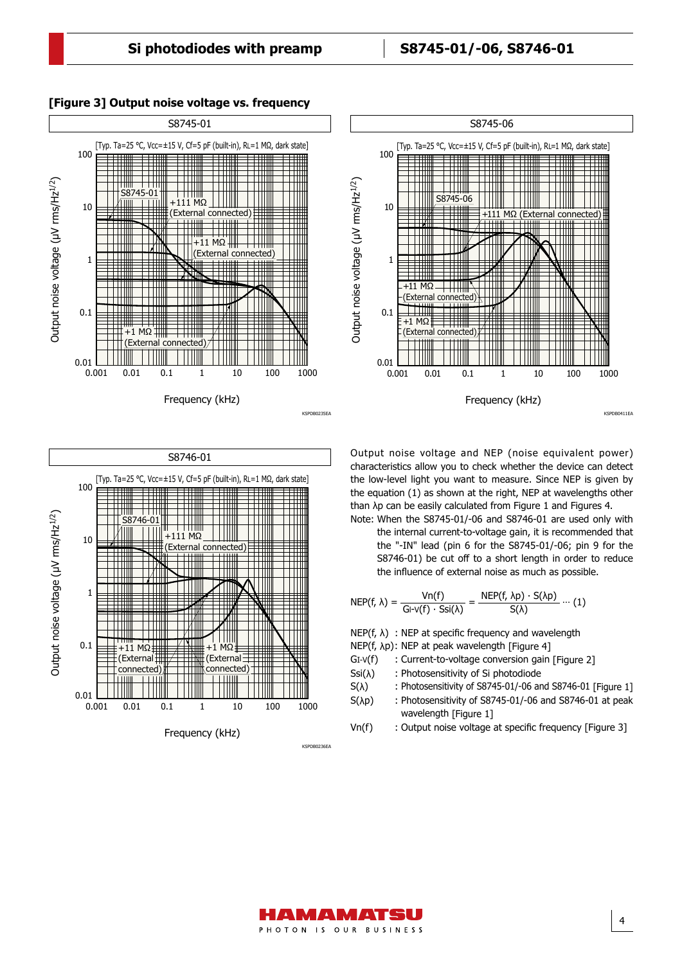[Typ. Ta=25 °C, Vcc=±15 V, Cf=5 pF (built-in), RL=1 MΩ, dark state]

S8745-06

S8745-06

┯╈

 $\uparrow\uparrow\uparrow\uparrow\uparrow\uparrow$ 

11 H

1

 $+11$  MC

Ш 1 I I I

l III ШI

10

100



Frequency (kHz)

 $MC$ (External connected)

1 10 100 1000

KSPDB0236EA

0.001 0.01 0.1

 $\overline{MQ}$ (External connected)

0.01

0.1

1

10

100

Output noise voltage (µV rms/Hz1/2)

Output noise voltage (µV rms/Hz<sup>1/2</sup>)

### **[Figure 3] Output noise voltage vs. frequency**



characteristics allow you to check whether the device can detect the low-level light you want to measure. Since NEP is given by the equation (1) as shown at the right, NEP at wavelengths other than λp can be easily calculated from Figure 1 and Figures 4. Note: When the S8745-01/-06 and S8746-01 are used only with

Frequency (kHz)

1 10 100 1000

KSPDB0411EA

+111 MΩ (External connected)

the internal current-to-voltage gain, it is recommended that the "-IN" lead (pin 6 for the S8745-01/-06; pin 9 for the S8746-01) be cut off to a short length in order to reduce the influence of external noise as much as possible.

$$
NEP(f, \lambda) = \frac{Vn(f)}{Gl \cdot V(f) \cdot Ssi(\lambda)} = \frac{NEP(f, \lambda p) \cdot S(\lambda p)}{S(\lambda)} \cdots (1)
$$

 $NEP(f, \lambda)$  : NEP at specific frequency and wavelength

- NEP(f, λp): NEP at peak wavelength [Figure 4]
- GI-V(f) : Current-to-voltage conversion gain [Figure 2]
- $Ssi(\lambda)$  : Photosensitivity of Si photodiode
- $S(\lambda)$  : Photosensitivity of S8745-01/-06 and S8746-01 [Figure 1]
- S(λp) : Photosensitivity of S8745-01/-06 and S8746-01 at peak wavelength [Figure 1]
- Vn(f) : Output noise voltage at specific frequency [Figure 3]

4

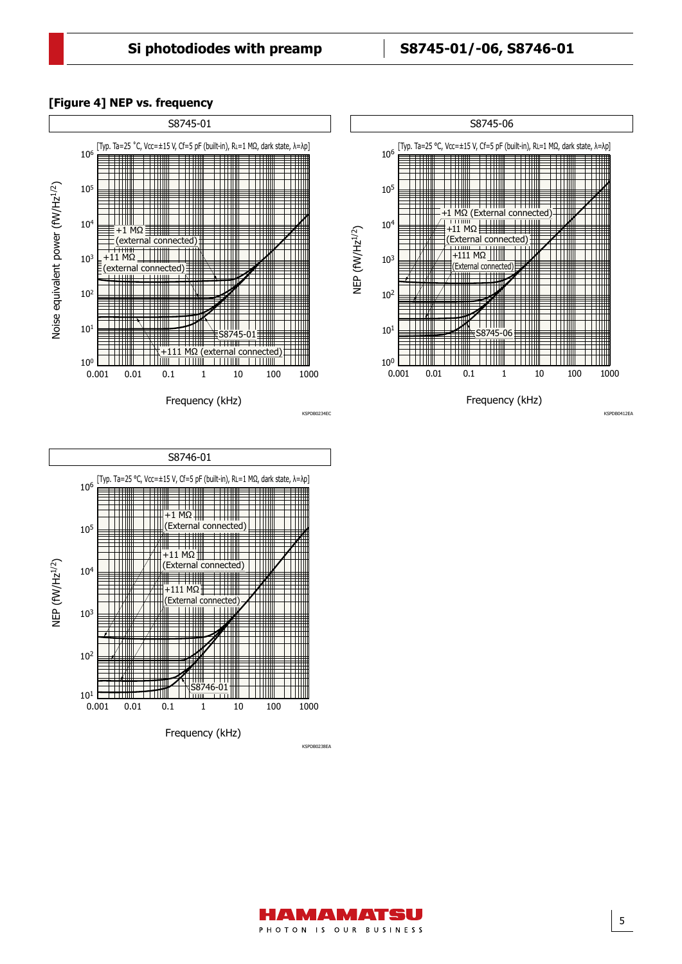#### S8745-01 [Typ. Ta=25 ˚C, Vcc=±15 V, Cf=5 pF (built-in), RL=1 MΩ, dark state, λ=λp] 106 TM TTTTII Noise equivalent power (fW/Hz<sup>1/2</sup>) Noise equivalent power (fW/Hz<sup>1/2</sup>) 105 TTIII TTTII l Titlit  $10<sup>4</sup>$ 1 MQ Ħ H H (external connected) ┯┪┪┪ TTIIN TIIII 103 +11 MΩ (external connected) TTIII TTTII TTN. П 102 TTT TITLE <u> Allin</u> TTIII 101 -01 +111 MΩ (external connected) Ⅲ 100 HIII  $0.001$   $0.01$   $0.1$ 1 10 100 1000 100 Frequency (kHz) KSPDB0234EC

**[Figure 4] NEP vs. frequency**





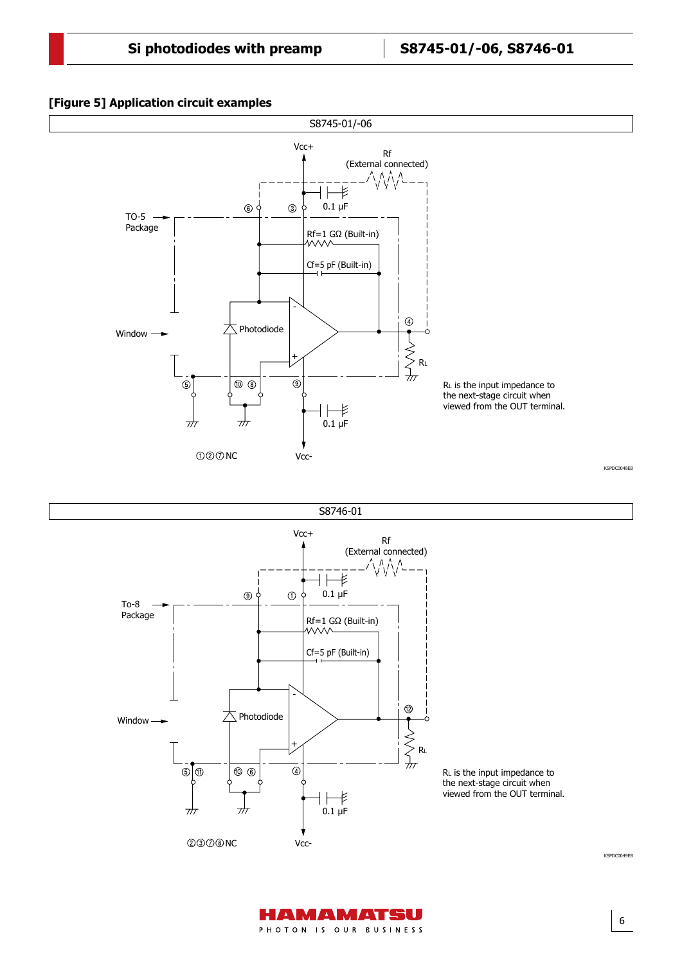### Application circuit example **[Figure 5] Application circuit examples**





6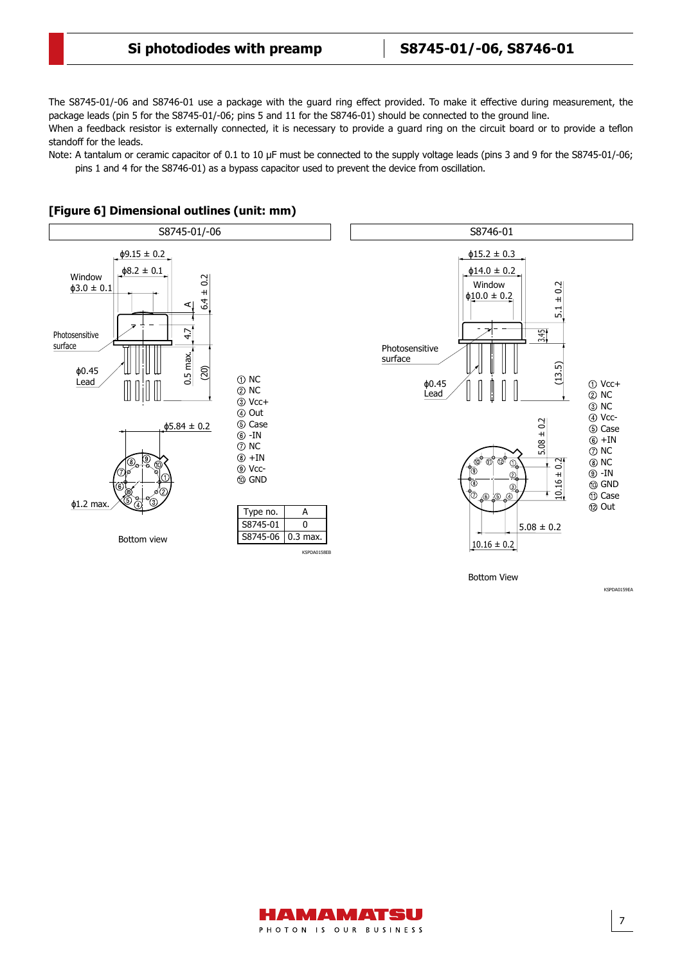The S8745-01/-06 and S8746-01 use a package with the guard ring effect provided. To make it effective during measurement, the package leads (pin 5 for the S8745-01/-06; pins 5 and 11 for the S8746-01) should be connected to the ground line.

When a feedback resistor is externally connected, it is necessary to provide a guard ring on the circuit board or to provide a teflon standoff for the leads.

Note: A tantalum or ceramic capacitor of 0.1 to 10 μF must be connected to the supply voltage leads (pins 3 and 9 for the S8745-01/-06; pins 1 and 4 for the S8746-01) as a bypass capacitor used to prevent the device from oscillation.



### **[Figure 6] Dimensional outlines (unit: mm)**



KSPDA0159EA